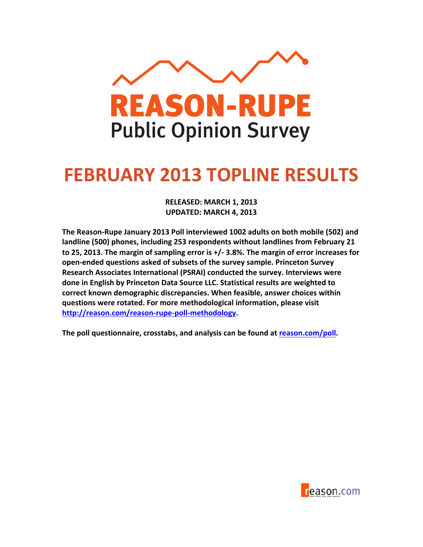

## **FEBRUARY 2013 TOPLINE RESULTS**

**RELEASED: MARCH 1, 2013 UPDATED: MARCH 4, 2013** 

The Reason-Rupe January 2013 Poll interviewed 1002 adults on both mobile (502) and landline (500) phones, including 253 respondents without landlines from February 21 to 25, 2013. The margin of sampling error is +/- 3.8%. The margin of error increases for **open-ended questions asked of subsets of the survey sample. Princeton Survey** Research Associates International (PSRAI) conducted the survey. Interviews were **done in English by Princeton Data Source LLC. Statistical results are weighted to** correct known demographic discrepancies. When feasible, answer choices within questions were rotated. For more methodological information, please visit http://reason.com/reason-rupe-poll-methodology.

The poll questionnaire, crosstabs, and analysis can be found at reason.com/poll.

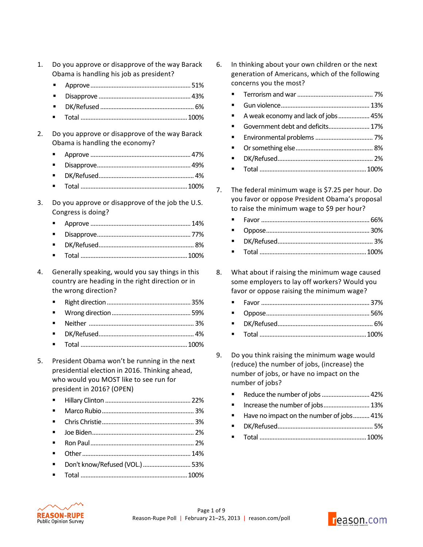- 1. Do you approve or disapprove of the way Barack Obama is handling his job as president?
	- Approve.............................................................51%
	- Disapprove ........................................................43%
	- DK/Refused ......................................................... 6%
	- Total .................................................................100%
- 2. Do you approve or disapprove of the way Barack Obama is handling the economy?
	- Approve .............................................................47%
	- Disapprove.........................................................49%
	- DK/Refused.......................................................... 4%
	- Total .................................................................100%
- 3. Do you approve or disapprove of the job the U.S. Congress is doing?
	- Approve .............................................................14%
	- Disapprove.........................................................77%
	- DK/Refused.......................................................... 8%
	- Total .................................................................100%
- 4. Generally speaking, would you say things in this country are heading in the right direction or in the wrong direction?
	- Right!direction...................................................35%
	- Wrong!direction................................................59%
	- Neither!................................................................ 3%
	- DK/Refused.......................................................... 4%
	- Total .................................................................100%
- 5. President Obama won't be running in the next presidential election in 2016. Thinking ahead, who would you MOST like to see run for president in 2016? (OPEN)
	- Hillary!Clinton ....................................................22%
	- Marco!Rubio........................................................ 3%
	- Chris!Christie........................................................ 3%
	- Joe!Biden.............................................................. 2%
	- Ron!Paul............................................................... 2%
	- Other..................................................................14%
	- Don't!know/Refused!(VOL.).............................53%
	- Total .................................................................100%
- 6. In thinking about your own children or the next generation of Americans, which of the following concerns you the most?
	- Terrorism!and!war.............................................. 7%
	- Gun!violence......................................................13%
	- A weak economy and lack of jobs................... 45%
	- Government debt and deficits.......................... 17%
	- Environmental!problems................................... 7%
	- Or!something!else............................................... 8%
	- DK/Refused.......................................................... 2%
	- Total .................................................................100%
- 7. The federal minimum wage is \$7.25 per hour. Do you favor or oppose President Obama's proposal to raise the minimum wage to \$9 per hour?
	- Favor ..................................................................66%
	- Oppose...............................................................30%
	- DK/Refused.......................................................... 3%
	- Total .................................................................100%
- 8. What about if raising the minimum wage caused some employers to lay off workers? Would you favor or oppose raising the minimum wage?
	- Favor ..................................................................37%
	- Oppose...............................................................56%
	- DK/Refused.......................................................... 6%
	- Total .................................................................100%
- 9. Do you think raising the minimum wage would (reduce) the number of jobs, (increase) the number of jobs, or have no impact on the number of jobs?
	- Reduce the number of jobs ............................... 42%
	- Increase the number of jobs............................. 13%
	- Have no impact on the number of jobs.......... 41%
	- DK/Refused.......................................................... 5%
	- Total .................................................................100%



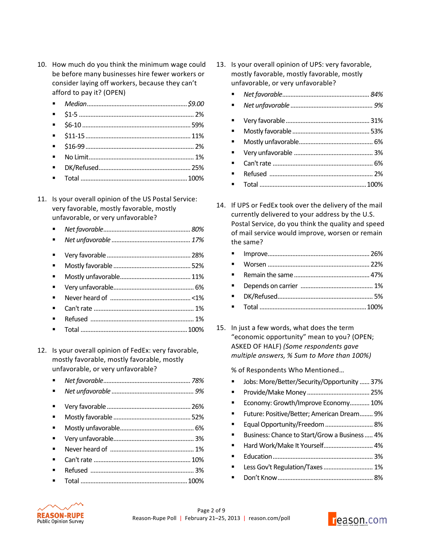- 10. How much do you think the minimum wage could be before many businesses hire fewer workers or consider laying off workers, because they can't afford to pay it? (OPEN)
	- *Median.............................................................\$9.00'*
	- \$1-5 ...................................................................... 2%
	- \$6-10 ..................................................................59%
	- \$11-15................................................................11%
	- \$16-99.................................................................. 2%
	- No!Limit................................................................ 1%
	- DK/Refused........................................................25%
	- Total .................................................................100%
- 11. Is your overall opinion of the US Postal Service: very favorable, mostly favorable, mostly unfavorable, or very unfavorable?
	- *Net'favorable.....................................................80%*
	- *Net'unfavorable ................................................17%*
	- Very!favorable...................................................28%
	- Mostly!favorable...............................................52%
	- Mostly!unfavorable...........................................11%
	- Very!unfavorable................................................. 6%
	- Never!heard!of! .................................................<1%
	- Can't!rate!............................................................. 1%
	- Refused! ............................................................... 1%
	- Total .................................................................100%
- 12. Is your overall opinion of FedEx: very favorable, mostly favorable, mostly favorable, mostly unfavorable, or very unfavorable?
	- *Net'favorable.....................................................78%*
	- *Net'unfavorable .................................................. 9%*
	- Very!favorable...................................................26%
	- Mostly!favorable...............................................52%
	- Mostly!unfavorable............................................. 6%
	- Very!unfavorable................................................. 3%
	- Never!heard!of! ................................................... 1%
	- Can't!rate!...........................................................10%
	- Refused! ............................................................... 3%
	- Total .................................................................100%
- 13. Is your overall opinion of UPS: very favorable, mostly favorable, mostly favorable, mostly unfavorable, or very unfavorable?
	- *Net'favorable.....................................................84%*
	- *Net'unfavorable .................................................. 9%*
	- Very!favorable...................................................31%
	- Mostly!favorable...............................................53%
	- Mostly!unfavorable............................................. 6%
	- Very!unfavorable ................................................ 3%
	- Can't!rate!............................................................. 6% Refused!............................................................... 2%
	- Total .................................................................100%
- 14. If UPS or FedEx took over the delivery of the mail currently delivered to your address by the U.S. Postal Service, do you think the quality and speed of mail service would improve, worsen or remain the same?

| $\blacksquare$ |  |
|----------------|--|
| $\blacksquare$ |  |
| $\mathbf{u}$ . |  |
|                |  |

15. In just a few words, what does the term "economic opportunity" mean to you? (OPEN; ASKED!OF!HALF) *(Some'respondents'gave' multiple'answers,'%'Sum'to'More'than'100%)*

% of Respondents Who Mentioned...

- Jobs: More/Better/Security/Opportunity ......37%
- Provide/Make!Money ......................................25%
- Economy: Growth/Improve Economy............10%
- Future: Positive/Better; American Dream........ 9%
- Equal!Opportunity/Freedom............................. 8%
- Business: Chance to Start/Grow a Business..... 4%
- Hard Work/Make It Yourself................................ 4%
- Education............................................................. 3%
- Less Gov't Regulation/Taxes.............................. 1%
	- Don't!Know.......................................................... 8%



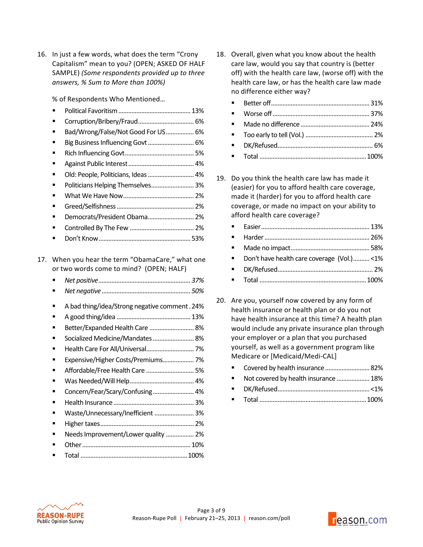16. In just a few words, what does the term "Crony" Capitalism" mean to you? (OPEN; ASKED OF HALF SAMPLE)!*(Some'respondents'provided'up'to'three' answers,'% Sum'to'More'than'100%)*

% of Respondents Who Mentioned...

|     |   | Bad/Wrong/False/Not Good For US 6%            |
|-----|---|-----------------------------------------------|
|     |   | Big Business Influencing Govt  6%             |
|     |   |                                               |
|     | п |                                               |
|     |   | Old: People, Politicians, Ideas  4%           |
|     |   | Politicians Helping Themselves 3%             |
|     |   |                                               |
|     |   |                                               |
|     |   | Democrats/President Obama 2%                  |
|     |   |                                               |
|     |   |                                               |
|     |   |                                               |
| 17. |   | When you hear the term "ObamaCare," what one  |
|     |   | or two words come to mind? (OPEN; HALF)       |
|     | ■ |                                               |
|     |   |                                               |
|     | ■ | A bad thing/idea/Strong negative comment. 24% |
|     | ■ |                                               |
|     | ■ | Better/Expanded Health Care  8%               |
|     | π | Socialized Medicine/Mandates  8%              |
|     |   | Health Care For All/Universal 7%              |
|     |   | Expensive/Higher Costs/Premiums 7%            |
|     |   | Affordable/Free Health Care  5%               |
|     |   |                                               |
|     | ■ |                                               |
|     | ■ |                                               |
|     |   | Concern/Fear/Scary/Confusing 4%               |
|     |   | Waste/Unnecessary/Inefficient  3%             |
|     |   |                                               |
|     |   |                                               |
|     |   | Needs Improvement/Lower quality  2%           |
|     |   |                                               |

- 18. Overall, given what you know about the health care law, would you say that country is (better off) with the health care law, (worse off) with the health care law, or has the health care law made no difference either way?
	- Better!off............................................................31%
	- Worse!off...........................................................37%
	- Made!no!difference..........................................24%
	- Too!early!to!tell (Vol.) ......................................... 2%
	- DK/Refused.......................................................... 6%
	- Total .................................................................100%
- 19. Do you think the health care law has made it (easier) for you to afford health care coverage, made it (harder) for you to afford health care coverage, or made no impact on your ability to afford health care coverage?
	- Easier..................................................................13% Harder................................................................26% Made!no!impact................................................58% Don't have health care coverage (Vol.).......... <1% DK/Refused.......................................................... 2%
	- Total .................................................................100%
- 20. Are you, yourself now covered by any form of health insurance or health plan or do you not have health insurance at this time? A health plan would include any private insurance plan through your employer or a plan that you purchased yourself, as well as a government program like Medicare or [Medicaid/Medi-CAL]
	- Covered by health insurance...................................82%
	- Not covered by health insurance ................... 18%
	- DK/Refused........................................................ <1%
	- Total .................................................................100%



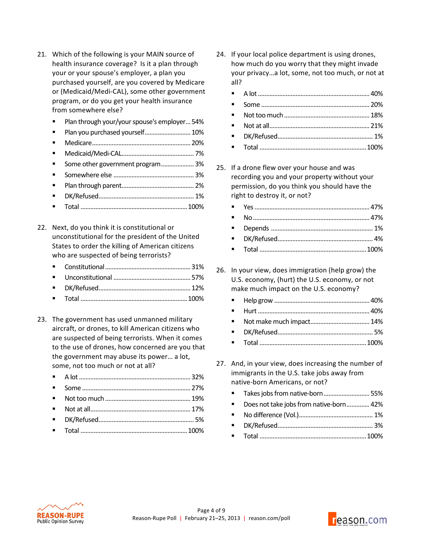- 21. Which of the following is your MAIN source of health insurance coverage? Is it a plan through your or your spouse's employer, a plan you purchased yourself, are you covered by Medicare or (Medicaid/Medi-CAL), some other government program, or do you get your health insurance from somewhere else?
	- **Plan through your/your spouse's employer... 54%**
	- Plan you purchased yourself............................... 10%
	- Medicare............................................................20%
	- Medicaid/Medi-CAL............................................ 7%
	- Some other government program.................... 3%
	- Somewhere!else ................................................. 3%
	- Plan!through!parent............................................ 2%
	- DK/Refused.......................................................... 1%
	- Total .................................................................100%
- 22. Next, do you think it is constitutional or unconstitutional for the president of the United States to order the killing of American citizens who are suspected of being terrorists?
	- Constitutional....................................................31%
	- Unconstitutional ...............................................57%
	- DK/Refused........................................................12%
	- Total .................................................................100%
- 23. The government has used unmanned military aircraft, or drones, to kill American citizens who are suspected of being terrorists. When it comes to the use of drones, how concerned are you that the government may abuse its power... a lot, some, not too much or not at all?
	- A!lot....................................................................32%
	- Some ..................................................................27%
	- Not!too!much....................................................19%
	- Not!at!all.............................................................17%
	- DK/Refused.......................................................... 5%
	- Total .................................................................100%
- 24. If your local police department is using drones, how much do you worry that they might invade your privacy...a lot, some, not too much, or not at all?
	- A!lot....................................................................40%
	- Some ..................................................................20%
	- Not!too!much....................................................18%
	- Not!at!all.............................................................21%
	- DK/Refused.......................................................... 1%
	- Total .................................................................100%
- 25. If a drone flew over your house and was recording you and your property without your permission, do you think you should have the right to destroy it, or not?
	- Yes......................................................................47% No.......................................................................47% Depends!.............................................................. 1% DK/Refused.......................................................... 4% Total .................................................................100%
- 26. In your view, does immigration (help grow) the U.S. economy, (hurt) the U.S. economy, or not make much impact on the U.S. economy?
	- Help!grow ..........................................................40%
	- Hurt....................................................................40%
	- Not!make!much!impact....................................14%
	- DK/Refused.......................................................... 5%
	- Total .................................................................100%
- 27. And, in your view, does increasing the number of immigrants in the U.S. take jobs away from native-born Americans, or not?
	- Takes jobs from native-born..................................55%
	- Does not take jobs from native-born.............. 42%
	- No!difference!(Vol.)............................................. 1%
	- DK/Refused.......................................................... 3%
	- Total .................................................................100%



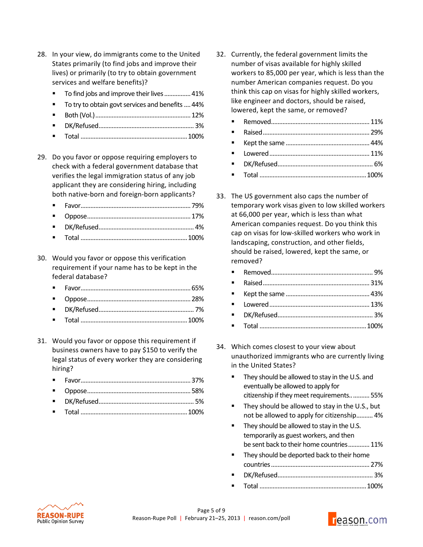- 28. In your view, do immigrants come to the United States primarily (to find jobs and improve their lives) or primarily (to try to obtain government services and welfare benefits)?
	- To find jobs and improve their lives................. 41%
	- To try to obtain govt services and benefits .... 44%
	- Both (Vol.)..........................................................12%
	- DK/Refused.......................................................... 3%
	- Total .................................................................100%
- 29. Do you favor or oppose requiring employers to check with a federal government database that verifies the legal immigration status of any job applicant they are considering hiring, including both native-born and foreign-born applicants?
	- Favor...................................................................79%
	- Oppose...............................................................17%
	- DK/Refused.......................................................... 4%
	- Total .................................................................100%
- 30. Would you favor or oppose this verification requirement if your name has to be kept in the federal database?
	- Favor...................................................................65%
	- Oppose...............................................................28%
	- DK/Refused.......................................................... 7%
	- Total .................................................................100%
- 31. Would you favor or oppose this requirement if business owners have to pay \$150 to verify the legal status of every worker they are considering hiring?
	- Favor...................................................................37%
	- Oppose...............................................................58%
	- DK/Refused.......................................................... 5%
	- Total .................................................................100%
- 32. Currently, the federal government limits the number of visas available for highly skilled workers to 85,000 per year, which is less than the number American companies request. Do you think this cap on visas for highly skilled workers, like engineer and doctors, should be raised, lowered, kept the same, or removed?
	- Removed............................................................11%
	- Raised.................................................................29%
	- Kept!the!same ...................................................44%
	- Lowered.............................................................11%
	- DK/Refused.......................................................... 6%
	- Total .................................................................100%
- 33. The US government also caps the number of temporary work visas given to low skilled workers at 66,000 per year, which is less than what American companies request. Do you think this cap on visas for low-skilled workers who work in landscaping, construction, and other fields, should be raised, lowered, kept the same, or removed?

- Total .................................................................100%
- 34. Which comes closest to your view about unauthorized immigrants who are currently living in the United States?
	- They should be allowed to stay in the U.S. and eventually be allowed to apply for citizenship if they meet requirements............ 55%
	- They should be allowed to stay in the U.S., but not be allowed to apply for citizenship.......... 4%
	- They should be allowed to stay in the U.S. temporarily as guest workers, and then be sent back to their home countries............. 11%
	- They should be deported back to their home countries............................................................27% DK/Refused.......................................................... 3% Total .................................................................100%

**REASON-RUPE Public Opinion Survey** 

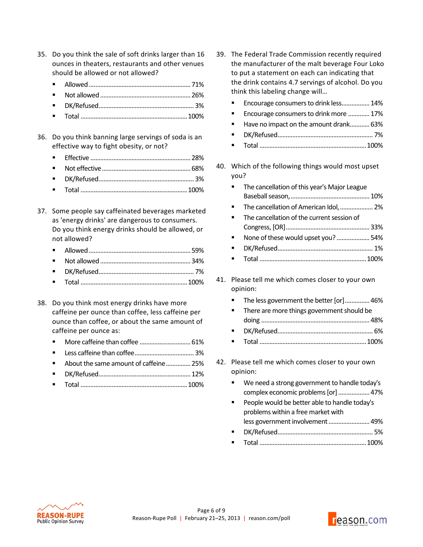- 35. Do you think the sale of soft drinks larger than 16 ounces in theaters, restaurants and other venues should be allowed or not allowed?
	- Allowed..............................................................71%
	- Not!allowed.......................................................26%
	- DK/Refused.......................................................... 3%
	- Total .................................................................100%
- 36. Do you think banning large servings of soda is an effective way to fight obesity, or not?
	- Effective .............................................................28%
	- Not effective......................................................68%
	- DK/Refused.......................................................... 3%
	- Total .................................................................100%
- 37. Some people say caffeinated beverages marketed as 'energy drinks' are dangerous to consumers. Do you think energy drinks should be allowed, or not allowed?
	- Allowed..............................................................59%
	- Not!allowed.......................................................34%
	- DK/Refused.......................................................... 7%
	- Total .................................................................100%
- 38. Do you think most energy drinks have more caffeine per ounce than coffee, less caffeine per ounce than coffee, or about the same amount of caffeine per ounce as:
	- More!caffeine!than!coffee ...............................61%
	- Less!caffeine!than!coffee.................................... 3%
	- About the same amount of caffeine............... 25%
	- DK/Refused........................................................12%
	- Total .................................................................100%
- 39. The Federal Trade Commission recently required the manufacturer of the malt beverage Four Loko to put a statement on each can indicating that the drink contains 4.7 servings of alcohol. Do you think this labeling change will...
	- Encourage consumers to drink less................. 14%
	- Encourage consumers to drink more ............. 17%
	- Have no impact on the amount drank............. 63%
	- DK/Refused.......................................................... 7%
	- Total .................................................................100%
- 40. Which of the following things would most upset you?
	- The cancellation of this year's Major League Baseball!season,................................................10% The cancellation of American Idol,..................... 2%
	- The cancellation of the current session of Congress,![OR]...................................................33%
	- None of these would upset you? .......................54%
	- DK/Refused.......................................................... 1% Total .................................................................100%
- 41. Please tell me which comes closer to your own opinion:
	- The less government the better [or]............... 46%
	- There are more things government should be doing ..................................................................48%
	- DK/Refused.......................................................... 6%
	- Total .................................................................100%
- 42. Please tell me which comes closer to your own opinion:
	- We need a strong government to handle today's complex economic problems [or] ................... 47%
	- People would be better able to handle today's problems within a free market with less government involvement .......................... 49% DK/Refused.......................................................... 5%
	- Total .................................................................100%



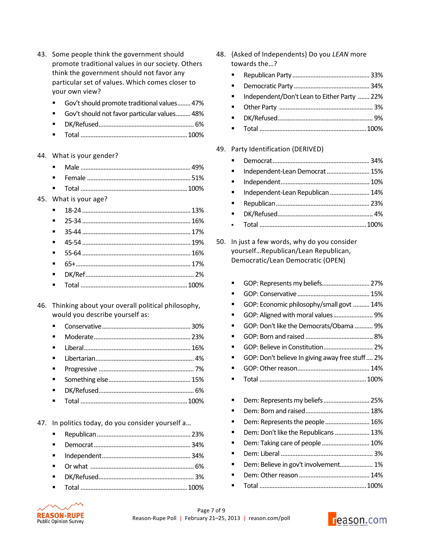| 43. Some people think the government should       |
|---------------------------------------------------|
| promote traditional values in our society. Others |
| think the government should not favor any         |
| particular set of values. Which comes closer to   |
| your own view?                                    |

- Gov't should promote traditional values........ 47%
- Gov't should not favor particular values......... 48%
- DK/Refused.......................................................... 6%
- Total .................................................................100%
- 44. What is your gender?

45. What is your age?

- 46. Thinking about your overall political philosophy, would you describe yourself as:
	- Conservative......................................................30%
	- Moderate...........................................................23%
	- Liberal.................................................................16%
	- Libertarian............................................................ 4%
	- Progressive .......................................................... 7%
	- Something!else..................................................15%
	- DK/Refused.......................................................... 6%
	- Total .................................................................100%

47. In politics today, do you consider yourself a...

- 48. {Asked of Independents} Do you *LEAN* more towards the...?
	- Republican Party...............................................33%
	- Democratic Party ..............................................34%
	- Independent/Don't Lean to Either Party ....... 22%
	- Other!Party! ......................................................... 3%
	- DK/Refused.......................................................... 9%
	- Total .................................................................100%

## 49. Party Identification (DERIVED)

- Democrat...........................................................34% Independent-Lean!Democrat..........................15% Independent......................................................10% Independent-Lean Republican ........................ 14% Republican.........................................................23% DK/Refused.......................................................... 4% Total .................................................................100%
- 50. In just a few words, why do you consider yourself...Republican/Lean Republican, Democratic/Lean Democratic (OPEN)

| GOP: Economic philosophy/small govt  14% |  |
|------------------------------------------|--|
|                                          |  |
|                                          |  |

- GOP: Don't like the Democrats/Obama ........... 9%
- GOP:!Born!and!raised ......................................... 8%
- GOP: Believe in Constitution................................ 2% GOP: Don't believe In giving away free stuff.... 2%
- GOP:!Other!reason............................................14%
- Total .................................................................100%
- Dem:!Represents!my!beliefs............................25%
- Dem:!Born!and!raised.......................................18%
- Dem: Represents the people............................ 16%
- Dem: Don't like the Republicans...................... 13% Dem:!Taking!care!of!people.............................10%
- Dem:!Liberal ........................................................ 3%
- Dem: Believe in gov't involvement.................... 1%
- Dem:!Other!reason...........................................14%
- Total .................................................................100%



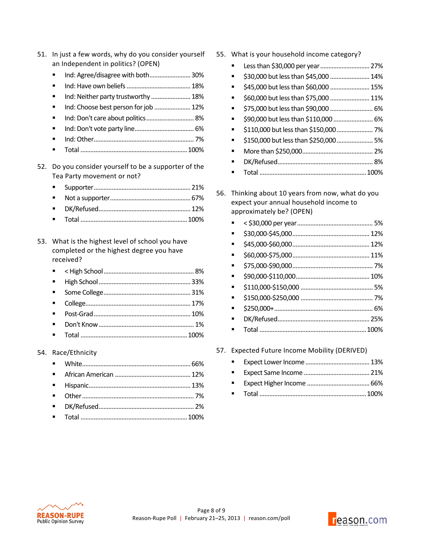| 51. | In just a few words, why do you consider yourself<br>an Independent in politics? (OPEN)               |
|-----|-------------------------------------------------------------------------------------------------------|
|     | Ind: Agree/disagree with both 30%                                                                     |
|     |                                                                                                       |
|     | Ind: Neither party trustworthy  18%                                                                   |
|     | Ind: Choose best person for job  12%                                                                  |
|     | Ind: Don't care about politics 8%                                                                     |
|     |                                                                                                       |
|     |                                                                                                       |
|     |                                                                                                       |
| 52. | Do you consider yourself to be a supporter of the<br>Tea Party movement or not?                       |
|     |                                                                                                       |
|     |                                                                                                       |
|     |                                                                                                       |
|     |                                                                                                       |
|     |                                                                                                       |
| 53. | What is the highest level of school you have<br>completed or the highest degree you have<br>received? |
|     |                                                                                                       |
|     |                                                                                                       |
|     |                                                                                                       |
|     |                                                                                                       |
| 54. | Race/Ethnicity                                                                                        |

- 55. What is your household income category?
	- Less than \$30,000 per year............................... 27%
	- \$30,000!but!less!than!\$45,000 ........................14%
	- \$45,000!but!less!than!\$60,000 ........................15%
	- \$60,000 but less than \$75,000 ......................... 11%
	- \$75,000!but!less!than!\$90,000 .......................... 6%
	- \$90,000 but less than \$110,000 ............................ 6%
	- \$110,000!but!less!than!\$150,000...................... 7%
	- \$150,000!butless!than!\$250,000...................... 5%
	- More!than!\$250,000........................................... 2%
	- DK/Refused.......................................................... 8%
	- Total .................................................................100%
- 56. Thinking about 10 years from now, what do you expect your annual household income to approximately be? (OPEN)

| ■ |  |
|---|--|
|   |  |
|   |  |
|   |  |
|   |  |
|   |  |
|   |  |
| ■ |  |
|   |  |
|   |  |

57. Expected Future Income Mobility (DERIVED)